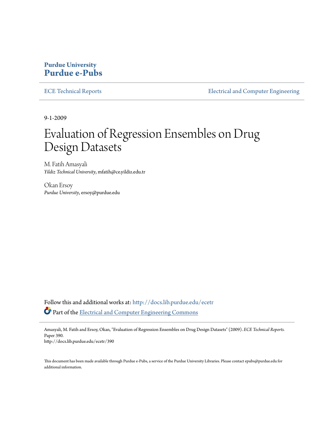# **Purdue University [Purdue e-Pubs](http://docs.lib.purdue.edu?utm_source=docs.lib.purdue.edu%2Fecetr%2F390&utm_medium=PDF&utm_campaign=PDFCoverPages)**

[ECE Technical Reports](http://docs.lib.purdue.edu/ecetr?utm_source=docs.lib.purdue.edu%2Fecetr%2F390&utm_medium=PDF&utm_campaign=PDFCoverPages) **[Electrical and Computer Engineering](http://docs.lib.purdue.edu/ece?utm_source=docs.lib.purdue.edu%2Fecetr%2F390&utm_medium=PDF&utm_campaign=PDFCoverPages)** 

9-1-2009

# Evaluation of Regression Ensembles on Drug Design Datasets

M. Fatih Amasyali *Yildiz Technical University*, mfatih@ce.yildiz.edu.tr

Okan Ersoy *Purdue University*, ersoy@purdue.edu

Follow this and additional works at: [http://docs.lib.purdue.edu/ecetr](http://docs.lib.purdue.edu/ecetr?utm_source=docs.lib.purdue.edu%2Fecetr%2F390&utm_medium=PDF&utm_campaign=PDFCoverPages) Part of the [Electrical and Computer Engineering Commons](http://network.bepress.com/hgg/discipline/266?utm_source=docs.lib.purdue.edu%2Fecetr%2F390&utm_medium=PDF&utm_campaign=PDFCoverPages)

Amasyali, M. Fatih and Ersoy, Okan, "Evaluation of Regression Ensembles on Drug Design Datasets" (2009). *ECE Technical Reports.* Paper 390. http://docs.lib.purdue.edu/ecetr/390

This document has been made available through Purdue e-Pubs, a service of the Purdue University Libraries. Please contact epubs@purdue.edu for additional information.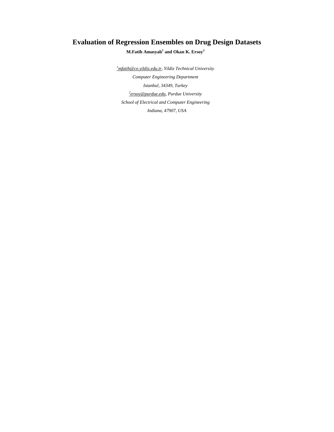# **Evaluation of Regression Ensembles on Drug Design Datasets**

**M.Fatih Amasyalı 1 and Okan K. Ersoy<sup>2</sup>**

*1 mfatih@ce.yildiz.edu.tr, Yildiz Technical University Computer Engineering Department Istanbul, 34349, Turkey 2 ersoy@purdue.edu, Purdue University School of Electrical and Computer Engineering Indiana, 47907, USA*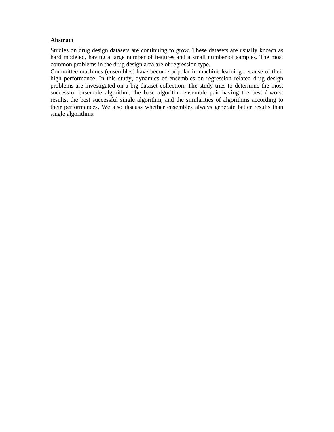### **Abstract**

Studies on drug design datasets are continuing to grow. These datasets are usually known as hard modeled, having a large number of features and a small number of samples. The most common problems in the drug design area are of regression type.

Committee machines (ensembles) have become popular in machine learning because of their high performance. In this study, dynamics of ensembles on regression related drug design problems are investigated on a big dataset collection. The study tries to determine the most successful ensemble algorithm, the base algorithm-ensemble pair having the best / worst results, the best successful single algorithm, and the similarities of algorithms according to their performances. We also discuss whether ensembles always generate better results than single algorithms.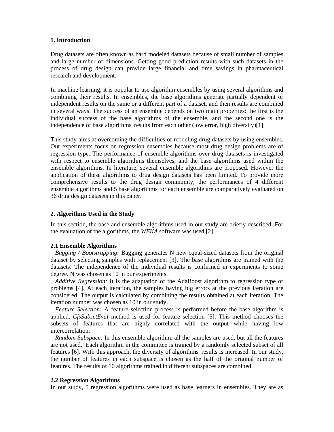#### **1. Introduction**

Drug datasets are often known as hard modeled datasets because of small number of samples and large number of dimensions. Getting good prediction results with such datasets in the process of drug design can provide large financial and time savings in pharmaceutical research and development.

In machine learning, it is popular to use algorithm ensembles by using several algorithms and combining their results. In ensembles, the base algorithms generate partially dependent or independent results on the same or a different part of a dataset, and then results are combined in several ways. The success of an ensemble depends on two main properties: the first is the individual success of the base algorithms of the ensemble, and the second one is the independence of base algorithms' results from each other (low error, high diversity)[1].

This study aims at overcoming the difficulties of modeling drug datasets by using ensembles. Our experiments focus on regression ensembles because most drug design problems are of regression type. The performance of ensemble algorithms over drug datasets is investigated with respect to ensemble algorithms themselves, and the base algorithms used within the ensemble algorithms. In literature, several ensemble algorithms are proposed. However the application of these algorithms to drug design datasets has been limited. To provide more comprehensive results to the drug design community, the performances of 4 different ensemble algorithms and 5 base algorithms for each ensemble are comparatively evaluated on 36 drug design datasets in this paper.

#### **2. Algorithms Used in the Study**

In this section, the base and ensemble algorithms used in our study are briefly described. For the evaluation of the algorithms, the *WEKA* software was used [2].

#### **2.1 Ensemble Algorithms**

*Bagging / Bootstrapping:* Bagging generates N new equal-sized datasets from the original dataset by selecting samples with replacement [3]. The base algorithms are trained with the datasets. The independence of the individual results is confirmed in experiments to some degree. N was chosen as 10 in our experiments.

*Additive Regression:* It is the adaptation of the AdaBoost algorithm to regression type of problems [4]. At each iteration, the samples having big errors at the previous iteration are considered. The output is calculated by combining the results obtained at each iteration. The iteration number was chosen as 10 in our study.

*Feature Selection:* A feature selection process is performed before the base algorithm is applied. *CfsSubsetEval* method is used for feature selection [5]. This method chooses the subsets of features that are highly correlated with the output while having low intercorrelation.

*Random Subspace:* In this ensemble algorithm, all the samples are used, but all the features are not used. Each algorithm in the committee is trained by a randomly selected subset of all features [6]. With this approach, the diversity of algorithms' results is increased. In our study, the number of features in each subspace is chosen as the half of the original number of features. The results of 10 algorithms trained in different subspaces are combined.

#### **2.2 Regression Algorithms**

In our study, 5 regression algorithms were used as base learners in ensembles. They are as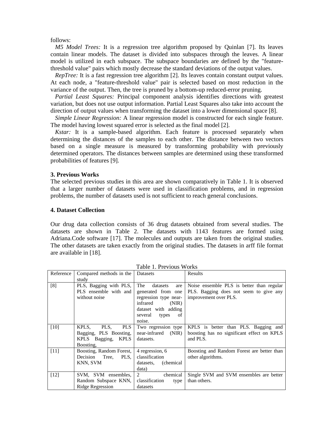follows:

*M5 Model Trees:* It is a regression tree algorithm proposed by Quinlan [7]. Its leaves contain linear models. The dataset is divided into subspaces through the leaves. A linear model is utilized in each subspace. The subspace boundaries are defined by the "featurethreshold value" pairs which mostly decrease the standard deviations of the output values.

*RepTree:* It is a fast regression tree algorithm [2]. Its leaves contain constant output values. At each node, a "feature-threshold value" pair is selected based on most reduction in the variance of the output. Then, the tree is pruned by a bottom-up reduced-error pruning.

*Partial Least Squares:* Principal component analysis identifies directions with greatest variation, but does not use output information. Partial Least Squares also take into account the direction of output values when transforming the dataset into a lower dimensional space [8].

*Simple Linear Regression:* A linear regression model is constructed for each single feature. The model having lowest squared error is selected as the final model [2].

*Kstar:* It is a sample-based algorithm. Each feature is processed separately when determining the distances of the samples to each other. The distance between two vectors based on a single measure is measured by transforming probability with previously determined operators. The distances between samples are determined using these transformed probabilities of features [9].

#### **3. Previous Works**

The selected previous studies in this area are shown comparatively in Table 1. It is observed that a larger number of datasets were used in classification problems, and in regression problems, the number of datasets used is not sufficient to reach general conclusions.

#### **4. Dataset Collection**

Our drug data collection consists of 36 drug datasets obtained from several studies. The datasets are shown in Table 2. The datasets with 1143 features are formed using Adriana.Code software [17]. The molecules and outputs are taken from the original studies. The other datasets are taken exactly from the original studies. The datasets in arff file format are available in [18].

| Reference | Compared methods in the<br>study                                                         | Datasets                                                                                                                                           | Results                                                                                                      |
|-----------|------------------------------------------------------------------------------------------|----------------------------------------------------------------------------------------------------------------------------------------------------|--------------------------------------------------------------------------------------------------------------|
| [8]       | PLS, Bagging with PLS,<br>PLS ensemble with and<br>without noise                         | The<br>datasets<br>are<br>generated from one<br>regression type near-<br>infrared<br>(NIR)<br>dataset with adding<br>several types<br>of<br>noise. | Noise ensemble PLS is better than regular<br>PLS. Bagging does not seem to give any<br>improvement over PLS. |
| $[10]$    | KPLS,<br><b>PLS</b><br>PLS,<br>Bagging, PLS Boosting,<br>KPLS Bagging, KPLS<br>Boosting, | Two regression type<br>near-infrared<br>(NIR)<br>datasets.                                                                                         | KPLS is better than PLS. Bagging and<br>boosting has no significant effect on KPLS<br>and PLS.               |
| [11]      | Boosting, Random Forest,<br>Decision Tree, PLS,<br>KNN, SVM                              | 4 regression, 6<br>classification<br>(chemical)<br>datasets,<br>data)                                                                              | Boosting and Random Forest are better than<br>other algorithms.                                              |
| $[12]$    | SVM, SVM ensembles,<br>Random Subspace KNN,<br><b>Ridge Regression</b>                   | 2<br>chemical<br>classification<br>type<br>datasets                                                                                                | Single SVM and SVM ensembles are better<br>than others.                                                      |

Table 1. Previous Works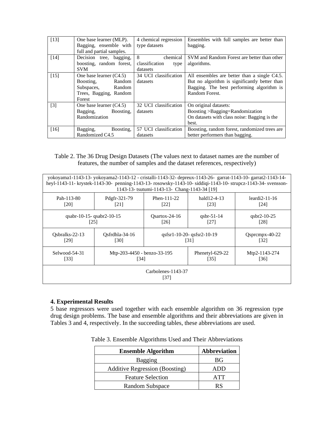| $[13]$            | One base learner (MLP).   | 4 chemical regression  | Ensembles with full samples are better than   |
|-------------------|---------------------------|------------------------|-----------------------------------------------|
|                   | Bagging, ensemble with    | type datasets          | bagging.                                      |
|                   | full and partial samples. |                        |                                               |
| $[14]$            | Decision tree, bagging,   | 8<br>chemical          | SVM and Random Forest are better than other   |
|                   | boosting, random forest,  | classification<br>type | algorithms.                                   |
|                   | <b>SVM</b>                | datasets               |                                               |
| $[15]$            | One base learner $(C4.5)$ | 34 UCI classification  | All ensembles are better than a single C4.5.  |
|                   | Random<br>Boosting,       | datasets               | But no algorithm is significantly better than |
|                   | Subspaces, Random         |                        | Bagging. The best performing algorithm is     |
|                   | Trees, Bagging, Random    |                        | Random Forest.                                |
|                   | Forest                    |                        |                                               |
| $\lceil 3 \rceil$ | One base learner $(C4.5)$ | 32 UCI classification  | On original datasets:                         |
|                   | Bagging,<br>Boosting.     | datasets               | Boosting > Bagging=Randomization              |
|                   | Randomization             |                        | On datasets with class noise: Bagging is the  |
|                   |                           |                        | best.                                         |
| [16]              | Boosting,<br>Bagging,     | 57 UCI classification  | Boosting, random forest, randomized trees are |
|                   | Randomized C4.5           | datasets               | better performers than bagging.               |

## Table 2. The 36 Drug Design Datasets (The values next to dataset names are the number of features, the number of samples and the dataset references, respectively)

|                         | yokoyama1-1143-13- yokoyama2-1143-12 - cristalli-1143-32- depreux-1143-26- garrat-1143-10- garrat2-1143-14-<br>heyl-1143-11- krystek-1143-30- penning-1143-13- rosowsky-1143-10- siddiqi-1143-10- strupcz-1143-34- svensson-<br>1143-13- tsutumi-1143-13- Chang-1143-34 [19] |  |                                   |                              |  |  |  |  |  |  |  |
|-------------------------|------------------------------------------------------------------------------------------------------------------------------------------------------------------------------------------------------------------------------------------------------------------------------|--|-----------------------------------|------------------------------|--|--|--|--|--|--|--|
| Pah-113-80<br>[20]      | Phen- $111-22$<br>hald12-4-13<br>Pdgfr-321-79<br>$leardi2-11-16$<br>[23]<br>[22]<br>[21]<br>[24]                                                                                                                                                                             |  |                                   |                              |  |  |  |  |  |  |  |
|                         | qsabr-10-15-qsabr2-10-15<br>$Osat - 24-16$<br>qsbr-51-14<br>qsbr2-10-25<br>[26]<br>[27]<br>[28]<br>1251                                                                                                                                                                      |  |                                   |                              |  |  |  |  |  |  |  |
| Qsbralks-22-13<br>[29]  | Osfrdhla-34-16<br>[30]                                                                                                                                                                                                                                                       |  | qsfsr1-10-20-qsfsr2-10-19<br>1311 | $Q$ spr $cmpx-40-22$<br>[32] |  |  |  |  |  |  |  |
| $Selwood-54-31$<br>[33] | Mtp-203-4450 - benzo-33-195<br>Phenetyl-629-22<br>Mtp2-1143-274<br>[35]<br>[36]<br>[34]                                                                                                                                                                                      |  |                                   |                              |  |  |  |  |  |  |  |
|                         | Carbolenes-1143-37<br>1371                                                                                                                                                                                                                                                   |  |                                   |                              |  |  |  |  |  |  |  |

#### **4. Experimental Results**

5 base regressors were used together with each ensemble algorithm on 36 regression type drug design problems. The base and ensemble algorithms and their abbreviations are given in Tables 3 and 4, respectively. In the succeeding tables, these abbreviations are used.

Table 3. Ensemble Algorithms Used and Their Abbreviations

| <b>Ensemble Algorithm</b>             | <b>Abbreviation</b> |
|---------------------------------------|---------------------|
| <b>Bagging</b>                        | BG                  |
| <b>Additive Regression (Boosting)</b> |                     |
| <b>Feature Selection</b>              | ATT                 |
| <b>Random Subspace</b>                | RS                  |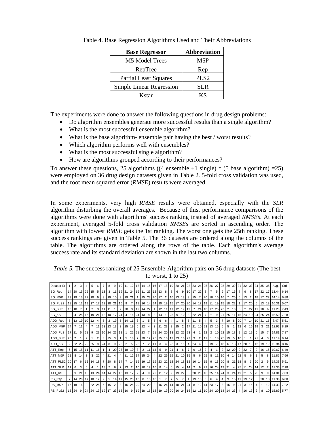| <b>Base Regressor</b>        | <b>Abbreviation</b> |
|------------------------------|---------------------|
| M5 Model Trees               | M5P                 |
| RepTree                      | Rep                 |
| <b>Partial Least Squares</b> | PLS <sub>2</sub>    |
| Simple Linear Regression     | <b>SLR</b>          |
| Kstar                        | ΚS                  |

Table 4. Base Regression Algorithms Used and Their Abbreviations

The experiments were done to answer the following questions in drug design problems:

- Do algorithm ensembles generate more successful results than a single algorithm?
- What is the most successful ensemble algorithm?
- What is the base algorithm- ensemble pair having the best / worst results?
- Which algorithm performs well with ensembles?
- What is the most successful single algorithm?
- How are algorithms grouped according to their performances?

To answer these questions, 25 algorithms ((4 ensemble +1 single)  $*$  (5 base algorithm) =25) were employed on 36 drug design datasets given in Table 2. 5-fold cross validation was used, and the root mean squared error (*RMSE*) results were averaged.

In some experiments, very high *RMSE* results were obtained, especially with the *SLR* algorithm disturbing the overall averages. Because of this, performance comparisons of the algorithms were done with algorithms' success ranking instead of averaged *RMSEs*. At each experiment, averaged 5-fold cross validation *RMSEs* are sorted in ascending order. The algorithm with lowest *RMSE* gets the 1st ranking. The worst one gets the 25th ranking. These success rankings are given in Table 5. The 36 datasets are ordered along the columns of the table. The algorithms are ordered along the rows of the table. Each algorithm's average success rate and its standard deviation are shown in the last two columns.

*Table 5*. The success ranking of 25 Ensemble-Algorithm pairs on 36 drug datasets (The best to worst,  $1$  to  $25$ )

| Dataset ID    |                | $\overline{2}$ | 3           | 4              | 5              | 6              |              | 8                                                                                                                                   | 9   | 10111 |                | 12             | 13 | 14 <sup>1</sup> | 15 <sup>1</sup> | l 16          | 17 | 18 <sup>1</sup> |                 | 19 20           | 21              | 22                | 23 24          |       | 25 | 26              | 27           | 28                | 29 | 30 31 |                 | 32              | 33 | 34                |                 | 35 36    | Ava.             | Std   |
|---------------|----------------|----------------|-------------|----------------|----------------|----------------|--------------|-------------------------------------------------------------------------------------------------------------------------------------|-----|-------|----------------|----------------|----|-----------------|-----------------|---------------|----|-----------------|-----------------|-----------------|-----------------|-------------------|----------------|-------|----|-----------------|--------------|-------------------|----|-------|-----------------|-----------------|----|-------------------|-----------------|----------|------------------|-------|
| BG_Rep        |                | 14 20 15 25 15 |             |                |                | 5              | 13           | 3                                                                                                                                   | -11 | 19 21 |                | 24 16 11 25 12 |    |                 |                 |               | 13 | 8               | 8               | 6               | 9               |                   | 10 17 22       |       | 8  |                 | 5            | 9                 | 17 | 16    |                 | 9               | 8  | 17 <sup>1</sup>   |                 |          | 22 17 13.44 6.14 |       |
| BG M5P        |                | 23 19 13 22    |             |                | 10             | 9              | 3            | 19                                                                                                                                  | 10  | 9     | 19 21          |                |    |                 | 25 23 20        |               | 17 | $\mathbf{2}$    |                 | 16 13 13        |                 | 9                 | 15             |       | 20 | 10 I            |              | 16 16             |    | 25    | 5               | 13              | 2  |                   |                 | 18 17 22 | 14.14 6.88       |       |
| BG_PLS2       | 18             |                | 25 12 19 17 |                |                |                | $17 \mid 22$ | 18 21                                                                                                                               |     | 16    | 9              |                | 18 | 16 14 24        |                 |               | 20 |                 | 18 15 17        |                 | 20              | 20 <sub>1</sub>   |                | 14 17 | 19 | 11 <sup>1</sup> |              | 19 15 18          |    | 22    |                 | 17 <sup>1</sup> | 20 | 5                 |                 | 13 13    | 16.31            | 5.07  |
| <b>BG_SLR</b> |                | 13   10        |             |                | $\overline{2}$ | 3              | 11           | 11                                                                                                                                  |     | 2     | 20             | 3              | 12 | 14 22           |                 |               | 12 | 11   17         |                 | 12 <sub>1</sub> | 19 <sub>l</sub> | 19                | $\overline{7}$ | 24    | 18 | 17 25           |              | 23                | 2  | 10    | 6               | 2               | 22 | 11 <sup>1</sup>   | 10 <sup>1</sup> | 6        | 11.28            | 17.43 |
| BG_KS         | 9              | 4              | 125         |                | 16 19 21       |                |              | 12 10 17                                                                                                                            |     | 24    | 4              | 16 24          |    | 13 <sup>1</sup> | 8               | 8             | 14 |                 | 25 <sub>1</sub> | -9              | 12              | 8                 | 22             | 21    |    | 21              | 9            | 21                | 25 | 11 I  |                 | $15 \, 24$      |    | 10 24 25 24       |                 |          | 15.50 7.28       |       |
| ADD_Rep       | 5              |                | 13 19 10 12 |                |                | 4              | 5            | $\overline{2}$                                                                                                                      | 19  | 5     | $14 \ 11$      |                | 3  |                 | 5               | 6             | 6  | 6               | 4               |                 | 8               | 5                 | 11             | 5     |    | 5               | 3            |                   | 10 | 8     | 20 <sub>1</sub> |                 | 14 | 10 21             |                 | 16       | 8.47             | 5.51  |
| ADD M5P       | 24             |                | 111         | 4              |                |                | 11 23        | 23                                                                                                                                  | 13  | 3     | 25             | 19             | -6 | 22              | 4               | 3             | 21 | 23              | 2               | 25              | 2               | 17 21             |                | 10    | 23 | 13 <sup>1</sup> | $15 \quad 5$ |                   | 5  |       | 12 <sub>1</sub> | 6               | 16 | 19                | 3               | 121      | 12.92            | 8.19  |
| ADD PLS       | 17             | 21             | 5           | 21             | 9              |                | 23 10 24     |                                                                                                                                     | 25  | 12    |                | 22             | 21 | 23              | $\overline{7}$  | 21            | 24 |                 | 20 13 22        |                 | 25              | 23                | $\overline{4}$ |       | 12 | 2               |              | 10 22             | 15 | 17    | 2               | 12 <sub>1</sub> | 19 | 6                 | 15 <sup>1</sup> |          | 14.81            | 7.87  |
| ADD SLR       | 25             | 2              |             | $\overline{2}$ |                | $\overline{2}$ | 8            | 25                                                                                                                                  | 3   |       | 5              | 18             | 7  |                 |                 | 20 12 25 25   |    |                 | 16 12 23 16     |                 |                 | 22                | 3              | 2     | 11 |                 |              | 18 25 19          |    | 5     | 16              |                 |    | 21                | 4               | 3        | 11.14            | 9.14  |
| ADD KS        | $\overline{2}$ |                | 22 23 20    |                | 25             |                | 8 24         | 8                                                                                                                                   | 9   | 25    | 2              | 5              | 25 | $\overline{7}$  | $\overline{2}$  | 11            | 3  |                 | 4 23 3          |                 | 15              | 4                 | 24             |       | 5  | 19              |              | 18                | 6  |       |                 | 13 17 20        |    | $13 \mid 12 \mid$ |                 |          | 19 19 12.94      | 8.16  |
| ATT_Rep       | 6              |                | 15 18 11    |                | <b>111</b>     | 16             |              | $\overline{4}$                                                                                                                      | 20  |       |                | 23 18 10       | 8  | 2 <sup>1</sup>  | 11              | l 14          | 5  |                 | 9121            | 4               | 6               |                   | 9              | 16    | 2  | 4               |              | 2 <sup>1</sup>    | 12 | 20    | 9               | 122             |    | $9^{\circ}$       |                 |          | 16 15 10.67      | 6.49  |
| ATT_M5P       | 22             | 8              | 14          | 3              | 3              | 22             |              | 21                                                                                                                                  | 4   | 4     | 11             | $12$ 14 15 24  |    |                 |                 | 4             | 22 |                 | 25 19 21        |                 | 10              | 15                | 5              | 6     | 25 | 8               | 11           | 10                | 4  | 14    | 22 <sub>1</sub> | 5               | 6  |                   | 5.              | 8        | 11.86 7.56       |       |
| ATT PLS2      | 20             | 17             | 6           | $12 \quad 14$  |                | 18             |              | 20                                                                                                                                  | 8   | 14    | $\overline{7}$ |                |    | 14 15 19 17     |                 | 19            | 23 | 22 <sub>1</sub> |                 |                 |                 | 18 24 18 12 16 14 |                |       | 15 | 9               |              | 13 20             | 8  | 21    | 18 <sup>1</sup> | 8               | 3  | 20                | 2               | 5        | 14.33 5.91       |       |
| ATT_SLR       | 11             | 6              | 3           | 6              | 4              |                | $18$ 7       |                                                                                                                                     | 6   |       | 23             | $\overline{2}$ |    | 10 10 19 16     |                 |               | 8  | 14              | 6               | 15              | 4               | 14                | $\overline{2}$ | 9     | 22 |                 |              | 16 24 13 21       |    | 4     |                 |                 |    | 25 11 24 14       | 12 <sub>1</sub> | 2        | 11.36 7.18       |       |
| ATT_KS        | 3              | 9              | 121         |                |                |                |              | 15 13 24 14 14 22                                                                                                                   |     |       | 18 13 17       |                | 2  | 4               | 9               | $22 \quad 11$ |    | 12              | 9               | 19 22           |                 | 6                 |                |       |    |                 |              | 20 20 16 25 14 24 | -3 |       | 24 19 21        |                 | 5  | 25                | 9               | 9        | 14.81            | 7.03  |
| RS_Rep        |                |                | 14 20 17 18 |                |                | 12             | 9            | 5                                                                                                                                   | 14  |       |                | 17 15 23 13    |    | 8               |                 | 13 10         |    | 7               |                 | 5               |                 |                   |                | 19 18 | 3  | 6               |              |                   | 9  |       |                 | 15 11 19 12     |    | 8                 |                 |          | 20 18 11.36 6.00 |       |
| RS M5P        |                | 16 18 16       |             | 9              | 22             | 25             | 6            | 15                                                                                                                                  | 2   |       |                | 8 16 25 20     |    | 24 20           |                 | 2             | 16 |                 | 24 14 10 21     |                 |                 | 24                | 8              | 12 14 |    | 23              | 17           | 8 <sub>1</sub>    | 16 | 9     | 21              | 3 <sup>1</sup>  | 15 |                   |                 | 12       | 14.33            | 7.22  |
| RS PLS2       |                | $15 \ 24 \ 9$  |             |                |                |                |              | 24   24   13   19   17   23   15   10   9   19   18   16   18   19   19   20   16   24   16   12   11   10   24   20   14   14   23 |     |       |                |                |    |                 |                 |               |    |                 |                 |                 |                 |                   |                |       |    |                 |              |                   |    |       |                 | 16              |    |                   |                 |          | 15.89 5.77       |       |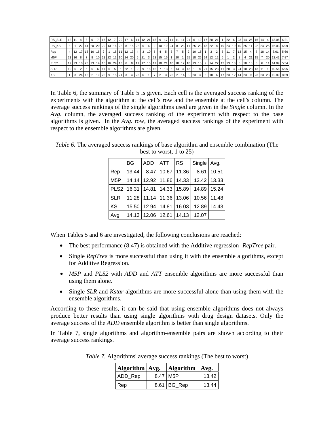| RS SLR           |   | $12$ 11 4 |  |  |  |  |  |  |  |  |  |  |  |  |  |  |  |  |  | 8   6   7   15   12   7   20   17   6   11   12   21   13   9   17   11   11   11   21   6   19   17   20   21   1   22   6   23   14   25   16   14   4   13.06   6.21                                                        |      |
|------------------|---|-----------|--|--|--|--|--|--|--|--|--|--|--|--|--|--|--|--|--|--------------------------------------------------------------------------------------------------------------------------------------------------------------------------------------------------------------------------------|------|
| RS KS            | 8 |           |  |  |  |  |  |  |  |  |  |  |  |  |  |  |  |  |  | 1 22 4 5 6.9 5 6.9 120 20 20 20 4 25 16 20 3 4 5 6 5 6 6 7 20 4 5 6 7 20 4 5 6 7 20 4 7 20 4 6 7 20 4 5 6 7 20 4 5 6 7 20 4 5 6.9 20 4 5 6.9 8 7 20 4 5 6.9 8 7 20 4 7 3 6.9 8 7 20 4 7 3 6 7 20 4 7 3 6 7 20 4 7 3 6 7 20 4 7 |      |
| Rep              |   |           |  |  |  |  |  |  |  |  |  |  |  |  |  |  |  |  |  | 4 12 17 18 16 15   2   1   18   11   12   13   4   3   10   5   4   5   3   7   5   2   10   15   1   3   2   3   11   7   13   15   4   7   18   14   8.61                                                                    | 5.66 |
| M <sub>5</sub> P |   |           |  |  |  |  |  |  |  |  |  |  |  |  |  |  |  |  |  | 21 16 1 2 16 17 18 10 121 122 123 124 120 1 21 13 123 124 125 126 127 128 129 120 120 120 120 120 120 120 120                                                                                                                  |      |
| PLS <sub>2</sub> |   |           |  |  |  |  |  |  |  |  |  |  |  |  |  |  |  |  |  | 19 23 10 23 23 14 16 16 24 13 6 18 17 17 15 17 18 21 10 18 17 18 17 18 13 13 14 22 12 13 18 18 18 18 18 18 1                                                                                                                   |      |
| <b>SLR</b>       |   |           |  |  |  |  |  |  |  |  |  |  |  |  |  |  |  |  |  | 10   5   2   5   5   6   17   6   5   6   22   1   9   9   18   15   7   13   5   14   3   13   1   8   21   15   23   11   20   3   24   10   23   13   11   1   10.56   6.95                                                 |      |
| <b>KS</b>        |   |           |  |  |  |  |  |  |  |  |  |  |  |  |  |  |  |  |  | 3 24 13 21 19 25 9 15 21 3 4 23 6 1 7 2 3 22 2 14 3 23 3 6 18 6 17 23 42 5 23 3 6 18 6 17 24 17 23 12                                                                                                                          |      |

In Table 6, the summary of Table 5 is given. Each cell is the averaged success ranking of the experiments with the algorithm at the cell's row and the ensemble at the cell's column. The average success rankings of the single algorithms used are given in the *Single* column. In the *Avg.* column, the averaged success ranking of the experiment with respect to the base algorithms is given. In the *Avg.* row, the averaged success rankings of the experiment with respect to the ensemble algorithms are given.

|                  | <b>BG</b> | <b>ADD</b>                           | <b>ATT</b>           | <b>RS</b> | Single   Avg. |              |
|------------------|-----------|--------------------------------------|----------------------|-----------|---------------|--------------|
| Rep              | 13.44     |                                      | 8.47   10.67   11.36 |           |               | $8.61$ 10.51 |
| M <sub>5</sub> P |           | 14.14   12.92   11.86   14.33        |                      |           |               | 13.42 13.33  |
|                  |           | PLS2   16.31   14.81   14.33   15.89 |                      |           |               | 14.89 15.24  |
| <b>SLR</b>       |           | 11.28 11.14 11.36 13.06              |                      |           |               | 10.56 11.48  |
| <b>KS</b>        |           | 15.50   12.94   14.81   16.03        |                      |           |               | 12.89 14.43  |
| Avg.             |           | 14.13   12.06   12.61   14.13        |                      |           | 12.07         |              |

*Table 6.* The averaged success rankings of base algorithm and ensemble combination (The best to worst, 1 to 25)

When Tables 5 and 6 are investigated, the following conclusions are reached:

- The best performance (8.47) is obtained with the Additive regression- *RepTree* pair.
- Single *RepTree* is more successful than using it with the ensemble algorithms, except for Additive Regression.
- *M5P* and *PLS2* with *ADD* and *ATT* ensemble algorithms are more successful than using them alone.
- Single *SLR* and *Kstar* algorithms are more successful alone than using them with the ensemble algorithms.

According to these results, it can be said that using ensemble algorithms does not always produce better results than using single algorithms with drug design datasets. Only the average success of the *ADD* ensemble algorithm is better than single algorithms.

In Table 7, single algorithms and algorithm-ensemble pairs are shown according to their average success rankings.

| Algorithm $Avg$ . | Algorithm   Avg. |       |
|-------------------|------------------|-------|
| ADD_Rep           | 8.47 M5P         | 13.42 |
| Rep               | $8.61$ BG_Rep    | 13.44 |

*Table 7.* Algorithms' average success rankings (The best to worst)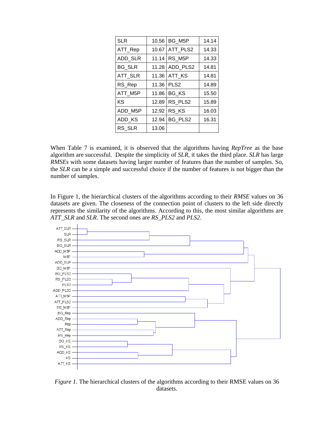| 10.56 | BG_M5P              | 14.14 |
|-------|---------------------|-------|
| 10.67 | ATT PLS2            | 14.33 |
| 11.14 | RS M <sub>5</sub> P | 14.33 |
| 11.28 | ADD_PLS2            | 14.81 |
| 11.36 | ATT KS              | 14.81 |
| 11.36 | PLS <sub>2</sub>    | 14.89 |
| 11.86 | BG KS               | 15.50 |
| 12.89 | RS PLS2             | 15.89 |
| 12.92 | RS KS               | 16.03 |
| 12.94 | BG PLS2             | 16.31 |
| 13.06 |                     |       |
|       |                     |       |

When Table 7 is examined, it is observed that the algorithms having *RepTree* as the base algorithm are successful. Despite the simplicity of *SLR*, it takes the third place. *SLR* has large *RMSEs* with some datasets having larger number of features than the number of samples. So, the *SLR* can be a simple and successful choice if the number of features is not bigger than the number of samples.

In Figure 1, the hierarchical clusters of the algorithms according to their *RMSE* values on 36 datasets are given. The closeness of the connection point of clusters to the left side directly represents the similarity of the algorithms. According to this, the most similar algorithms are *ATT\_SLR* and *SLR*. The second ones are *RS\_PLS2* and *PLS2*.



*Figure 1*. The hierarchical clusters of the algorithms according to their RMSE values on 36 datasets.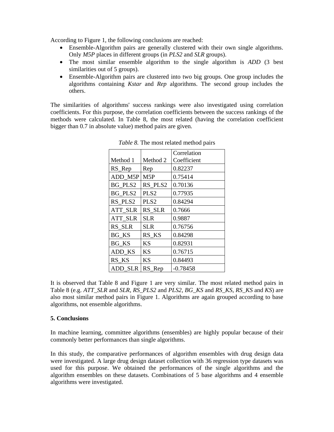According to Figure 1, the following conclusions are reached:

- Ensemble-Algorithm pairs are generally clustered with their own single algorithms. Only *M5P* places in different groups (in *PLS2* and *SLR* groups).
- The most similar ensemble algorithm to the single algorithm is *ADD* (3 best similarities out of 5 groups).
- Ensemble-Algorithm pairs are clustered into two big groups. One group includes the algorithms containing *Kstar* and *Rep* algorithms. The second group includes the others.

The similarities of algorithms' success rankings were also investigated using correlation coefficients. For this purpose, the correlation coefficients between the success rankings of the methods were calculated. In Table 8, the most related (having the correlation coefficient bigger than 0.7 in absolute value) method pairs are given.

|                |                  | Correlation |
|----------------|------------------|-------------|
| Method 1       | Method 2         | Coefficient |
| RS_Rep         | Rep              | 0.82237     |
| ADD_M5P        | M <sub>5</sub> P | 0.75414     |
| BG_PLS2        | RS_PLS2          | 0.70136     |
| BG PLS2        | PLS <sub>2</sub> | 0.77935     |
| RS_PLS2        | PLS <sub>2</sub> | 0.84294     |
| <b>ATT_SLR</b> | RS_SLR           | 0.7666      |
| <b>ATT SLR</b> | <b>SLR</b>       | 0.9887      |
| RS SLR         | <b>SLR</b>       | 0.76756     |
| BG_KS          | RS KS            | 0.84298     |
| BG KS          | KS               | 0.82931     |
| ADD KS         | KS               | 0.76715     |
| RS KS          | ΚS               | 0.84493     |
| ADD SLR        | RS Rep           | $-0.78458$  |

*Table 8.* The most related method pairs

It is observed that Table 8 and Figure 1 are very similar. The most related method pairs in Table 8 (e.g. *ATT\_SLR* and *SLR*, *RS\_PLS2* and *PLS2*, *BG\_KS* and *RS\_KS*, *RS\_KS* and *KS*) are also most similar method pairs in Figure 1. Algorithms are again grouped according to base algorithms, not ensemble algorithms.

#### **5. Conclusions**

In machine learning, committee algorithms (ensembles) are highly popular because of their commonly better performances than single algorithms.

In this study, the comparative performances of algorithm ensembles with drug design data were investigated. A large drug design dataset collection with 36 regression type datasets was used for this purpose. We obtained the performances of the single algorithms and the algorithm ensembles on these datasets. Combinations of 5 base algorithms and 4 ensemble algorithms were investigated.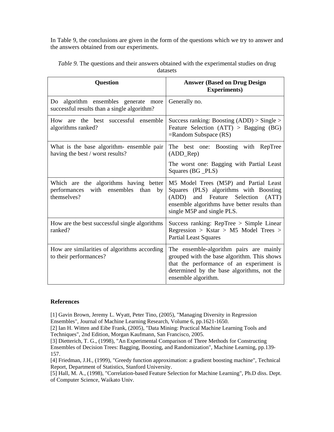In Table 9, the conclusions are given in the form of the questions which we try to answer and the answers obtained from our experiments.

| <b>Question</b>                                                                                 | <b>Answer (Based on Drug Design)</b><br><b>Experiments</b> )                                                                                                                                              |
|-------------------------------------------------------------------------------------------------|-----------------------------------------------------------------------------------------------------------------------------------------------------------------------------------------------------------|
| Do algorithm ensembles generate<br>more<br>successful results than a single algorithm?          | Generally no.                                                                                                                                                                                             |
| How are the best successful ensemble<br>algorithms ranked?                                      | Success ranking: Boosting $(ADD) > Single >$<br>Feature Selection $(ATT) > Bagging (BG)$<br>$=$ Random Subspace (RS)                                                                                      |
| What is the base algorithm- ensemble pair<br>having the best / worst results?                   | The best one: Boosting with RepTree<br>(ADD_Rep)                                                                                                                                                          |
|                                                                                                 | The worst one: Bagging with Partial Least<br>Squares (BG _PLS)                                                                                                                                            |
| Which are the algorithms having better<br>performances with ensembles than<br>by<br>themselves? | M5 Model Trees (M5P) and Partial Least<br>Squares (PLS) algorithms with Boosting<br>and Feature Selection<br>(ADD)<br>(ATT)<br>ensemble algorithms have better results than<br>single M5P and single PLS. |
| How are the best successful single algorithms<br>ranked?                                        | Success ranking: RepTree > Simple Linear<br>Regression > Kstar > M5 Model Trees ><br><b>Partial Least Squares</b>                                                                                         |
| How are similarities of algorithms according<br>to their performances?                          | The ensemble-algorithm pairs are mainly<br>grouped with the base algorithm. This shows<br>that the performance of an experiment is<br>determined by the base algorithms, not the<br>ensemble algorithm.   |

*Table 9.* The questions and their answers obtained with the experimental studies on drug datasets

## **References**

[1] Gavin Brown, Jeremy L. Wyatt, Peter Tino, (2005), "Managing Diversity in Regression Ensembles", Journal of Machine Learning Research, Volume 6, pp.1621-1650.

[2] Ian H. Witten and Eibe Frank, (2005), "Data Mining: Practical Machine Learning Tools and Techniques", 2nd Edition, Morgan Kaufmann, San Francisco, 2005.

[3] Dietterich, T. G., (1998), "An Experimental Comparison of Three Methods for Constructing Ensembles of Decision Trees: Bagging, Boosting, and Randomization", Machine Learning, pp.139- 157.

[4] Friedman, J.H., (1999), "Greedy function approximation: a gradient boosting machine", Technical Report, Department of Statistics, Stanford University.

[5] Hall, M. A., (1998), "Correlation-based Feature Selection for Machine Learning", Ph.D diss. Dept. of Computer Science, Waikato Univ.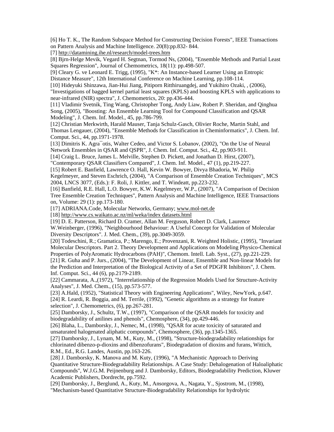[6] Ho T. K., The Random Subspace Method for Constructing Decision Forests", IEEE Transactions on Pattern Analysis and Machine Intelligence. 20(8):pp.832- 844.

[7] http://datamining.ihe.nl/research/model-trees.htm

[8] Bjrn-Helge Mevik, Vegard H. Segtnan, Tormod Ns, (2004), "Ensemble Methods and Partial Least Squares Regression", Journal of Chemometrics, 18(11): pp.498-507.

[9] Cleary G. ve Leonard E. Trigg, (1995), "K\*: An Instance-based Learner Using an Entropic Distance Measure", 12th International Conference on Machine Learning, pp.108-114.

[10] Hideyuki Shinzawa, Jian-Hui Jiang, Pitiporn Ritthiruangdej, and Yukihiro Ozaki, , (2006),

"Investigations of bagged kernel partial least squares (KPLS) and boosting KPLS with applications to near-infrared (NIR) spectra", J. Chemometrics, 20: pp.436-444.

[11] Vladimir Svetnik, Ting Wang, Christopher Tong, Andy Liaw, Robert P. Sheridan, and Qinghua Song, (2005), "Boosting: An Ensemble Learning Tool for Compound Classification and QSAR Modeling", J. Chem. Inf. Model., 45, pp.786-799.

[12] Christian Merkwirth, Harald Mauser, Tanja Schulz-Gasch, Olivier Roche, Martin Stahl, and Thomas Lengauer, (2004), "Ensemble Methods for Classification in Cheminformatics", J. Chem. Inf. Comput. Sci., 44, pp.1971-1978.

[13] Dimitris K. Agra¯otis, Walter Cedeo, and Victor S. Lobanov, (2002), "On the Use of Neural Network Ensembles in QSAR and QSPR", J. Chem. Inf. Comput. Sci., 42, pp.903-911.

[14] Craig L. Bruce, James L. Melville, Stephen D. Pickett, and Jonathan D. Hirst, (2007),

"Contemporary QSAR Classifiers Compared", J. Chem. Inf. Model., 47 (1), pp.219-227.

[15] Robert E. Banfield, Lawrence O. Hall, Kevin W. Bowyer, Divya Bhadoria, W. Philip

Kegelmeyer, and Steven Eschrich, (2004), "A Comparison of Ensemble Creation Techniques", MCS 2004, LNCS 3077, (Eds.): F. Roli, J. Kittler, and T. Windeatt, pp.223-232.

[16] Banfield, R.E. Hall, L.O. Bowyer, K.W. Kegelmeyer, W.P., (2007), "A Comparison of Decision Tree Ensemble Creation Techniques", Pattern Analysis and Machine Intelligence, IEEE Transactions on, Volume: 29 (1): pp.173-180.

[17] ADRIANA.Code, Molecular Networks, Germany; www.mol-net.de

[18] http://www.cs.waikato.ac.nz/ml/weka/index datasets.html

[19] D. E. Patterson, Richard D. Cramer, Allan M. Ferguson, Robert D. Clark, Laurence

W.Weinberger, (1996), "Neighbourhood Behaviour: A Useful Concept for Validation of Molecular Diversity Descriptors". J. Med. Chem., (39), pp.3049-3059.

[20] Todeschini, R.; Gramatica, P.; Marengo, E.; Provenzani, R. Weighted Holistic, (1995), "Invariant Molecular Descriptors. Part 2. Theory Development and Applications on Modeling Physico-Chemical Properties of PolyAromatic Hydrocarbons (PAH)", Chemom. Intell. Lab. Syst., (27), pp.221-229.

[21] R. Guha and P. Jurs., (2004), "The Development of Linear, Ensemble and Non-linear Models for the Prediction and Interpretation of the Biological Activity of a Set of PDGFR Inhibitors", J. Chem. Inf. Comput. Sci., 44 (6), pp.2179-2189.

[22] Cammarata, A.,(1972), "Interrelationship of the Regression Models Used for Structure-Activity Analyses", J. Med. Chem., (15), pp.573-577.

[23] A.Hald, (1952), "Statistical Theory with Engineering Applications", Wiley, NewYork, p.647. [24] R. Leardi, R. Boggia, and M. Terrile, (1992), "Genetic algorithms as a strategy for feature selection", J. Chemometrics, (6), pp.267-281.

[25] Damborsky, J., Schultz, T.W., (1997), "Comparison of the QSAR models for toxicity and biodegradability of anilines and phenols", Chemosphere, (34), pp.429-446.

[26] Blaha, L., Damborsky, J., Nemec, M., (1998), "QSAR for acute toxicity of saturated and unsaturated halogenated aliphatic compounds", Chemosphere, (36), pp.1345-1365.

[27] Damborsky, J., Lynam, M. M., Kuty, M., (1998), "Structure-biodegradability relationships for chlorinated dibenzo-p-dioxins and dibenzofurans", Biodegradation of dioxins and furans, Wittich, R.M., Ed., R.G. Landes, Austin, pp.163-226.

[28] J. Damborsky, K. Manova and M. Kuty, (1996), "A Mechanistic Approach to Deriving Quantitative Structure-Biodegradability Relationships. A Case Study: Dehalogenation of Haloaliphatic Compounds", W.J.G.M. Peijnenburg and J. Damborsky, Editors, Biodegradability Prediction, Kluwer Academic Publishers, Dordrecht, pp.7592.

[29] Damborsky, J., Berglund, A., Kuty, M., Ansorgova, A., Nagata, Y., Sjostrom, M., (1998), "Mechanism-based Quantitative Structure-Biodegradability Relationships for hydrolytic